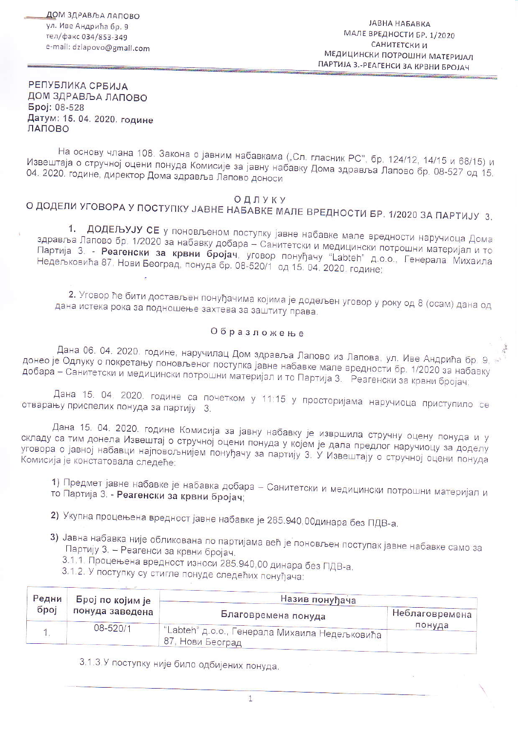ЈАВНА НАБАВКА МАЛЕ ВРЕДНОСТИ БР, 1/2020 **САНИТЕТСКИ И** МЕДИЦИНСКИ ПОТРОШНИ МАТЕРИЈАЛ ПАРТИЈА 3.-РЕАГЕНСИ ЗА КРВНИ БРОЈАЧ

РЕПУБЛИКА СРБИЈА ДОМ ЗДРАВЉА ЛАПОВО Број: 08-528 Датум: 15. 04. 2020. године ЛАПОВО

На основу члана 108. Закона о јавним набавкама ("Сл. гласник РС", бр. 124/12, 14/15 и 68/15) и Извештаја о стручној оцени понуда Комисије за јавну набавку Дома здравља Лапово бр. 08-527 од 15. 04. 2020. године, директор Дома здравља Лапово доноси

## ОДЛУКУ

## О ДОДЕЛИ УГОВОРА У ПОСТУПКУ ЈАВНЕ НАБАВКЕ МАЛЕ ВРЕДНОСТИ БР. 1/2020 ЗА ПАРТИЈУ 3.

1. ДОДЕЉУЈУ СЕ у поновљеном поступку јавне набавке мале вредности наручиоца Дома здравља Лапово бр. 1/2020 за набавку добара - Санитетски и медицински потрошни материјал и то Партија 3. - Реагенски за крвни бројач, уговор понуђачу "Labteh" д.о.о.. Генерала Михаила Недељковића 87, Нови Београд, понуда бр. 08-520/1 од 15. 04. 2020. године;

2. Уговор ће бити достављен понуђачима којима је додељен уговор у року од 8 (осам) дана од дана истека рока за подношење захтева за заштиту права.

## Образложење

Дана 06. 04. 2020. године, наручилац Дом здравља Лапово из Лапова, ул. Иве Андрића бр. 9 донео је Одлуку о покретању поновљеног поступка јавне набавке мале вредности бр. 1/2020 за набавку добара - Санитетски и медицински потрошни материјал и то Партија 3. Реагенски за крвни бројач;

Дана 15. 04. 2020. године са почетком у 11:15 у просторијама наручиоца приступило се отварању приспелих понуда за партију 3.

Дана 15. 04. 2020. године Комисија за јавну набавку је извршила стручну оцену понуда и у складу са тим донела Извештај о стручној оцени понуда у којем је дала предлог наручиоцу за доделу уговора о јавној набавци најповољнијем понуђачу за партију 3. У Извештају о стручној оцени понуда Комисија је констатовала следеће:

1) Предмет јавне набавке је набавка добара - Санитетски и медицински потрошни материјал и то Партија 3. - Реагенски за крвни бројач

2) Укупна процењена вредност јавне набавке је 285.940,00динара без ПДВ-а.

- 3) Јавна набавка није обликована по партијама већ је поновљен поступак јавне набавке само за Партију 3. - Реагенси за крвни бројач.
	- 3.1.1. Процењена вредност износи 285.940,00 динара без ПДВ-а.
	- 3.1.2. У поступку су стигле понуде следећих понуђача:

| Редни<br>број | Број по којим је<br>понуда заведена | Назив понуђача                                                      |                |
|---------------|-------------------------------------|---------------------------------------------------------------------|----------------|
|               |                                     | Благовремена понуда                                                 | Неблаговремена |
|               | 08-520/1                            | 'Labteh" д.о.о., Генерала Михаила Недељковића<br>, 87, Нови Београд | понуда         |

3.1.3.У поступку није било одбијених понуда.

 $\mathbf{1}$